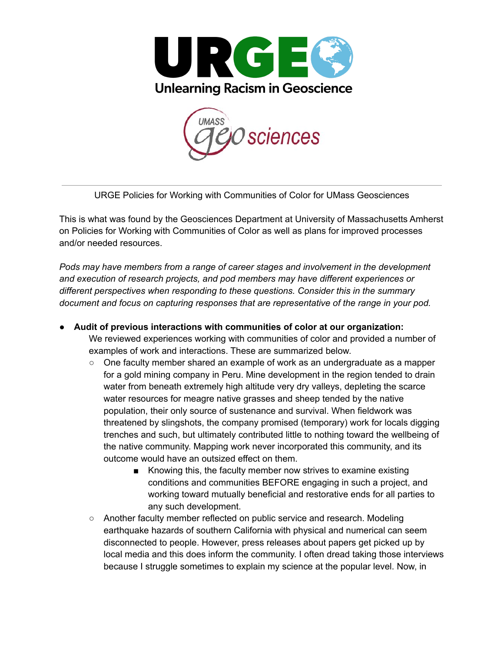



URGE Policies for Working with Communities of Color for UMass Geosciences

This is what was found by the Geosciences Department at University of Massachusetts Amherst on Policies for Working with Communities of Color as well as plans for improved processes and/or needed resources.

*Pods may have members from a range of career stages and involvement in the development and execution of research projects, and pod members may have different experiences or different perspectives when responding to these questions. Consider this in the summary document and focus on capturing responses that are representative of the range in your pod.*

- **● Audit of previous interactions with communities of color at our organization:** We reviewed experiences working with communities of color and provided a number of examples of work and interactions. These are summarized below.
	- One faculty member shared an example of work as an undergraduate as a mapper for a gold mining company in Peru. Mine development in the region tended to drain water from beneath extremely high altitude very dry valleys, depleting the scarce water resources for meagre native grasses and sheep tended by the native population, their only source of sustenance and survival. When fieldwork was threatened by slingshots, the company promised (temporary) work for locals digging trenches and such, but ultimately contributed little to nothing toward the wellbeing of the native community. Mapping work never incorporated this community, and its outcome would have an outsized effect on them.
		- Knowing this, the faculty member now strives to examine existing conditions and communities BEFORE engaging in such a project, and working toward mutually beneficial and restorative ends for all parties to any such development.
	- Another faculty member reflected on public service and research. Modeling earthquake hazards of southern California with physical and numerical can seem disconnected to people. However, press releases about papers get picked up by local media and this does inform the community. I often dread taking those interviews because I struggle sometimes to explain my science at the popular level. Now, in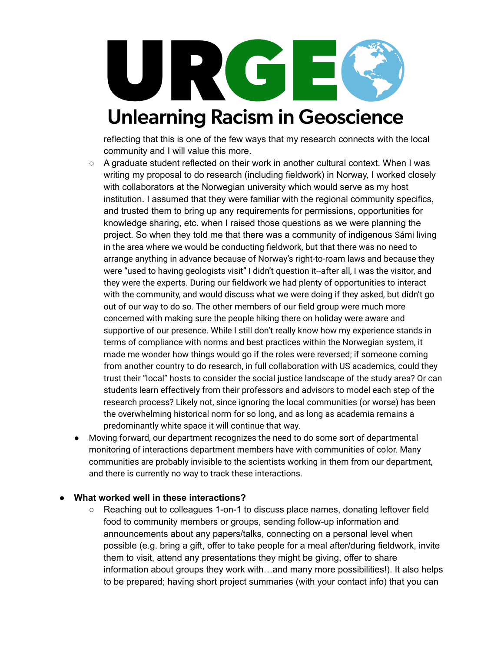

reflecting that this is one of the few ways that my research connects with the local community and I will value this more.

- A graduate student reflected on their work in another cultural context. When I was writing my proposal to do research (including fieldwork) in Norway, I worked closely with collaborators at the Norwegian university which would serve as my host institution. I assumed that they were familiar with the regional community specifics, and trusted them to bring up any requirements for permissions, opportunities for knowledge sharing, etc. when I raised those questions as we were planning the project. So when they told me that there was a community of indigenous Sámi living in the area where we would be conducting fieldwork, but that there was no need to arrange anything in advance because of Norway's right-to-roam laws and because they were "used to having geologists visit" I didn't question it--after all, I was the visitor, and they were the experts. During our fieldwork we had plenty of opportunities to interact with the community, and would discuss what we were doing if they asked, but didn't go out of our way to do so. The other members of our field group were much more concerned with making sure the people hiking there on holiday were aware and supportive of our presence. While I still don't really know how my experience stands in terms of compliance with norms and best practices within the Norwegian system, it made me wonder how things would go if the roles were reversed; if someone coming from another country to do research, in full collaboration with US academics, could they trust their "local" hosts to consider the social justice landscape of the study area? Or can students learn effectively from their professors and advisors to model each step of the research process? Likely not, since ignoring the local communities (or worse) has been the overwhelming historical norm for so long, and as long as academia remains a predominantly white space it will continue that way.
- Moving forward, our department recognizes the need to do some sort of departmental monitoring of interactions department members have with communities of color. Many communities are probably invisible to the scientists working in them from our department, and there is currently no way to track these interactions.

#### **● What worked well in these interactions?**

○ Reaching out to colleagues 1-on-1 to discuss place names, donating leftover field food to community members or groups, sending follow-up information and announcements about any papers/talks, connecting on a personal level when possible (e.g. bring a gift, offer to take people for a meal after/during fieldwork, invite them to visit, attend any presentations they might be giving, offer to share information about groups they work with…and many more possibilities!). It also helps to be prepared; having short project summaries (with your contact info) that you can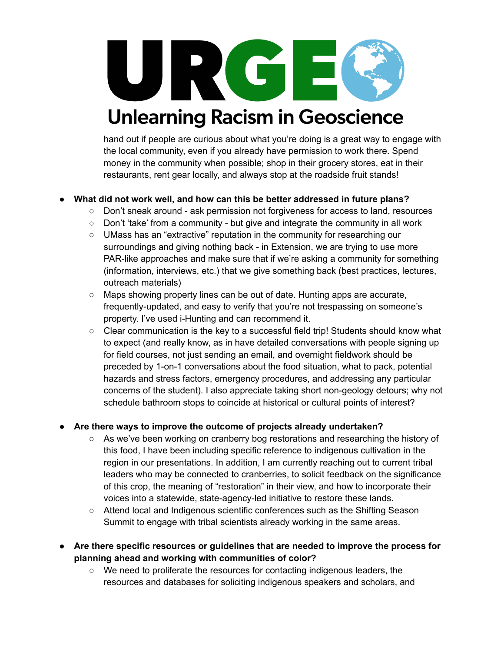URCI

## **Unlearning Racism in Geoscience**

hand out if people are curious about what you're doing is a great way to engage with the local community, even if you already have permission to work there. Spend money in the community when possible; shop in their grocery stores, eat in their restaurants, rent gear locally, and always stop at the roadside fruit stands!

### **● What did not work well, and how can this be better addressed in future plans?**

- Don't sneak around ask permission not forgiveness for access to land, resources
	- $\circ$  Don't 'take' from a community but give and integrate the community in all work
	- UMass has an "extractive" reputation in the community for researching our surroundings and giving nothing back - in Extension, we are trying to use more PAR-like approaches and make sure that if we're asking a community for something (information, interviews, etc.) that we give something back (best practices, lectures, outreach materials)
	- Maps showing property lines can be out of date. Hunting apps are accurate, frequently-updated, and easy to verify that you're not trespassing on someone's property. I've used i-Hunting and can recommend it.
- Clear communication is the key to a successful field trip! Students should know what to expect (and really know, as in have detailed conversations with people signing up for field courses, not just sending an email, and overnight fieldwork should be preceded by 1-on-1 conversations about the food situation, what to pack, potential hazards and stress factors, emergency procedures, and addressing any particular concerns of the student). I also appreciate taking short non-geology detours; why not schedule bathroom stops to coincide at historical or cultural points of interest?

### **● Are there ways to improve the outcome of projects already undertaken?**

- **○** As we've been working on cranberry bog restorations and researching the history of this food, I have been including specific reference to indigenous cultivation in the region in our presentations. In addition, I am currently reaching out to current tribal leaders who may be connected to cranberries, to solicit feedback on the significance of this crop, the meaning of "restoration" in their view, and how to incorporate their voices into a statewide, state-agency-led initiative to restore these lands.
- Attend local and Indigenous scientific conferences such as the Shifting Season Summit to engage with tribal scientists already working in the same areas.
- **● Are there specific resources or guidelines that are needed to improve the process for planning ahead and working with communities of color?**
	- We need to proliferate the resources for contacting indigenous leaders, the resources and databases for soliciting indigenous speakers and scholars, and